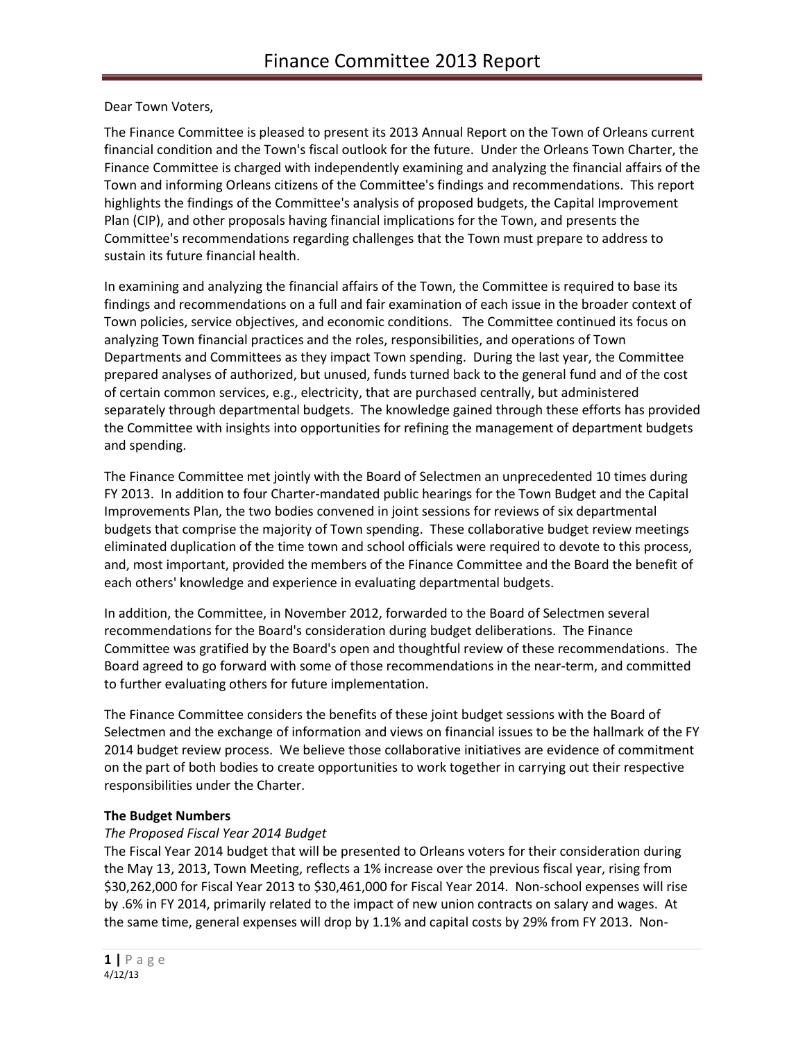# Dear Town Voters,

The Finance Committee is pleased to present its 2013 Annual Report on the Town of Orleans current financial condition and the Town's fiscal outlook for the future. Under the Orleans Town Charter, the Finance Committee is charged with independently examining and analyzing the financial affairs of the Town and informing Orleans citizens of the Committee's findings and recommendations. This report highlights the findings of the Committee's analysis of proposed budgets, the Capital Improvement Plan (CIP), and other proposals having financial implications for the Town, and presents the Committee's recommendations regarding challenges that the Town must prepare to address to sustain its future financial health.

In examining and analyzing the financial affairs of the Town, the Committee is required to base its findings and recommendations on a full and fair examination of each issue in the broader context of Town policies, service objectives, and economic conditions. The Committee continued its focus on analyzing Town financial practices and the roles, responsibilities, and operations of Town Departments and Committees as they impact Town spending. During the last year, the Committee prepared analyses of authorized, but unused, funds turned back to the general fund and of the cost of certain common services, e.g., electricity, that are purchased centrally, but administered separately through departmental budgets. The knowledge gained through these efforts has provided the Committee with insights into opportunities for refining the management of department budgets and spending.

The Finance Committee met jointly with the Board of Selectmen an unprecedented 10 times during FY 2013. In addition to four Charter-mandated public hearings for the Town Budget and the Capital Improvements Plan, the two bodies convened in joint sessions for reviews of six departmental budgets that comprise the majority of Town spending. These collaborative budget review meetings eliminated duplication of the time town and school officials were required to devote to this process, and, most important, provided the members of the Finance Committee and the Board the benefit of each others' knowledge and experience in evaluating departmental budgets.

In addition, the Committee, in November 2012, forwarded to the Board of Selectmen several recommendations for the Board's consideration during budget deliberations. The Finance Committee was gratified by the Board's open and thoughtful review of these recommendations. The Board agreed to go forward with some of those recommendations in the near-term, and committed to further evaluating others for future implementation.

The Finance Committee considers the benefits of these joint budget sessions with the Board of Selectmen and the exchange of information and views on financial issues to be the hallmark of the FY 2014 budget review process. We believe those collaborative initiatives are evidence of commitment on the part of both bodies to create opportunities to work together in carrying out their respective responsibilities under the Charter.

### **The Budget Numbers**

# *The Proposed Fiscal Year 2014 Budget*

The Fiscal Year 2014 budget that will be presented to Orleans voters for their consideration during the May 13, 2013, Town Meeting, reflects a 1% increase over the previous fiscal year, rising from \$30,262,000 for Fiscal Year 2013 to \$30,461,000 for Fiscal Year 2014. Non-school expenses will rise by .6% in FY 2014, primarily related to the impact of new union contracts on salary and wages. At the same time, general expenses will drop by 1.1% and capital costs by 29% from FY 2013. Non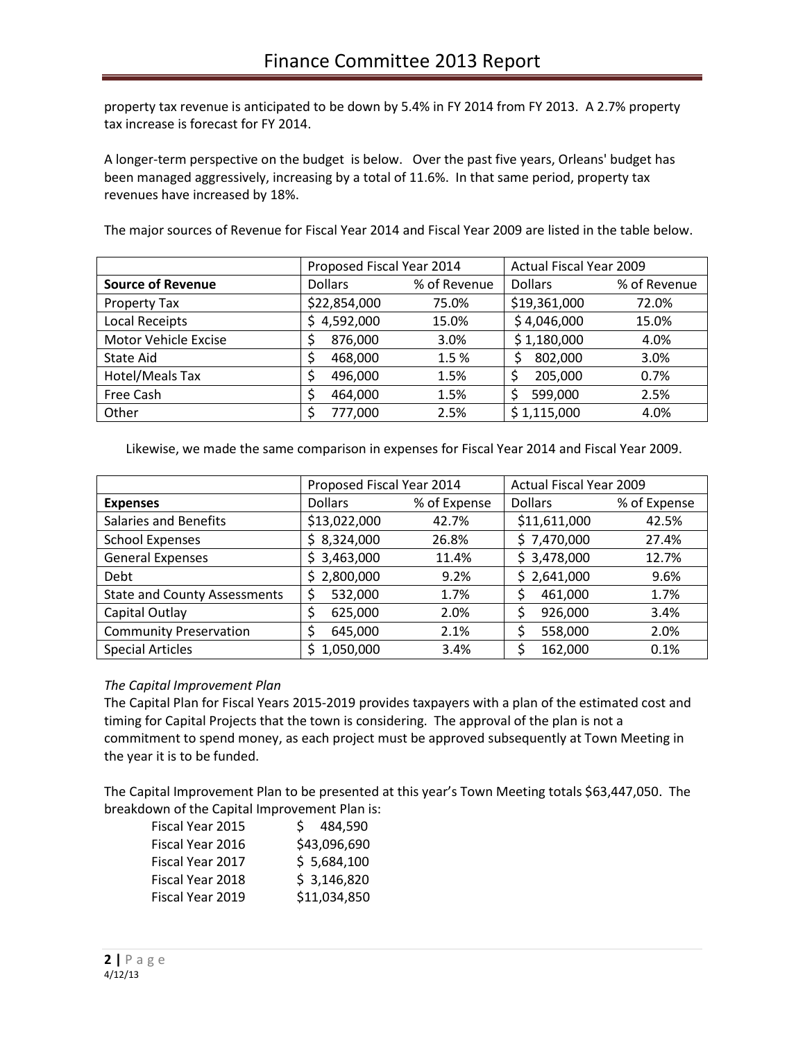property tax revenue is anticipated to be down by 5.4% in FY 2014 from FY 2013. A 2.7% property tax increase is forecast for FY 2014.

A longer-term perspective on the budget is below. Over the past five years, Orleans' budget has been managed aggressively, increasing by a total of 11.6%. In that same period, property tax revenues have increased by 18%.

The major sources of Revenue for Fiscal Year 2014 and Fiscal Year 2009 are listed in the table below.

|                          | Proposed Fiscal Year 2014 |              | <b>Actual Fiscal Year 2009</b> |              |
|--------------------------|---------------------------|--------------|--------------------------------|--------------|
| <b>Source of Revenue</b> | <b>Dollars</b>            | % of Revenue | <b>Dollars</b>                 | % of Revenue |
| Property Tax             | \$22,854,000              | 75.0%        | \$19,361,000                   | 72.0%        |
| Local Receipts           | \$4,592,000               | 15.0%        | \$4,046,000                    | 15.0%        |
| Motor Vehicle Excise     | 876,000                   | 3.0%         | \$1,180,000                    | 4.0%         |
| State Aid                | 468,000                   | 1.5%         | 802,000                        | 3.0%         |
| Hotel/Meals Tax          | 496,000                   | 1.5%         | 205,000                        | 0.7%         |
| Free Cash                | 464,000                   | 1.5%         | 599,000                        | 2.5%         |
| Other                    | 777,000                   | 2.5%         | \$1,115,000                    | 4.0%         |

Likewise, we made the same comparison in expenses for Fiscal Year 2014 and Fiscal Year 2009.

|                                     | Proposed Fiscal Year 2014 |              | <b>Actual Fiscal Year 2009</b> |              |
|-------------------------------------|---------------------------|--------------|--------------------------------|--------------|
| <b>Expenses</b>                     | <b>Dollars</b>            | % of Expense | <b>Dollars</b>                 | % of Expense |
| <b>Salaries and Benefits</b>        | \$13,022,000              | 42.7%        | \$11,611,000                   | 42.5%        |
| <b>School Expenses</b>              | \$8,324,000               | 26.8%        | \$7,470,000                    | 27.4%        |
| <b>General Expenses</b>             | \$3,463,000               | 11.4%        | \$3,478,000                    | 12.7%        |
| Debt                                | \$2,800,000               | 9.2%         | \$2,641,000                    | 9.6%         |
| <b>State and County Assessments</b> | \$<br>532,000             | 1.7%         | 461,000                        | 1.7%         |
| Capital Outlay                      | 625,000                   | 2.0%         | 926,000                        | 3.4%         |
| <b>Community Preservation</b>       | 645,000                   | 2.1%         | 558,000                        | 2.0%         |
| <b>Special Articles</b>             | 1,050,000<br>S            | 3.4%         | 162,000                        | 0.1%         |

### *The Capital Improvement Plan*

The Capital Plan for Fiscal Years 2015-2019 provides taxpayers with a plan of the estimated cost and timing for Capital Projects that the town is considering. The approval of the plan is not a commitment to spend money, as each project must be approved subsequently at Town Meeting in the year it is to be funded.

The Capital Improvement Plan to be presented at this year's Town Meeting totals \$63,447,050. The breakdown of the Capital Improvement Plan is:

| Fiscal Year 2015 | 484,590<br>S. |
|------------------|---------------|
| Fiscal Year 2016 | \$43,096,690  |
| Fiscal Year 2017 | \$5,684,100   |
| Fiscal Year 2018 | \$3,146,820   |
| Fiscal Year 2019 | \$11,034,850  |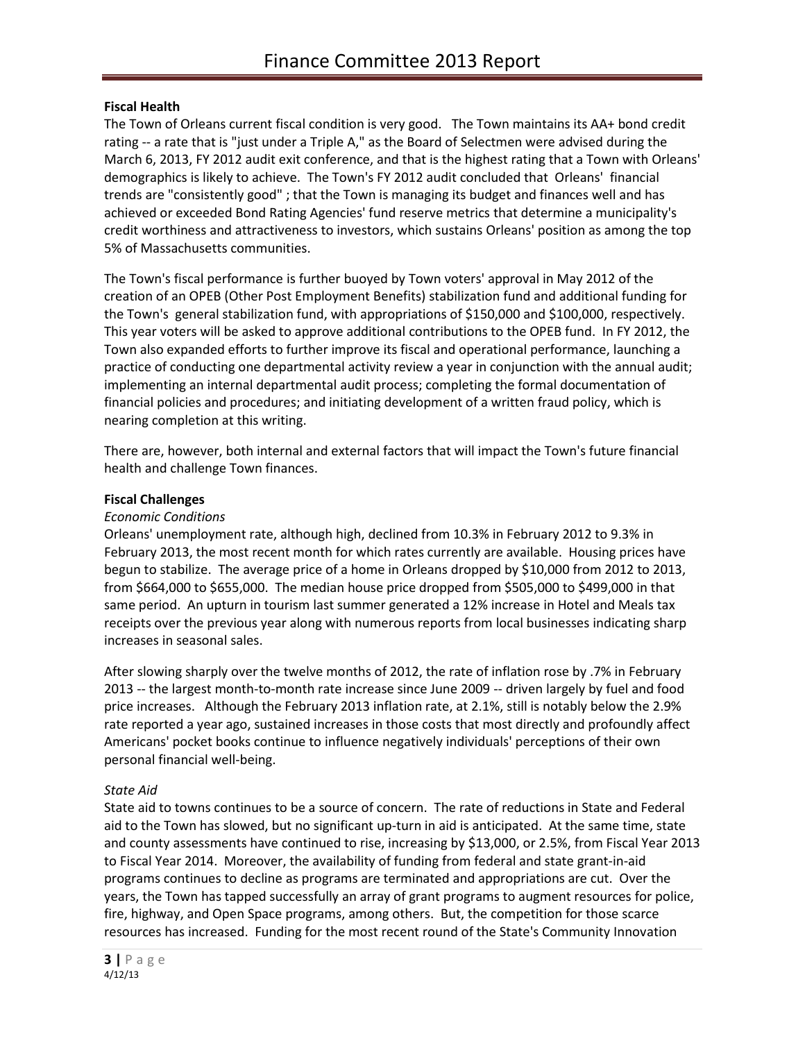### **Fiscal Health**

The Town of Orleans current fiscal condition is very good. The Town maintains its AA+ bond credit rating -- a rate that is "just under a Triple A," as the Board of Selectmen were advised during the March 6, 2013, FY 2012 audit exit conference, and that is the highest rating that a Town with Orleans' demographics is likely to achieve. The Town's FY 2012 audit concluded that Orleans' financial trends are "consistently good" ; that the Town is managing its budget and finances well and has achieved or exceeded Bond Rating Agencies' fund reserve metrics that determine a municipality's credit worthiness and attractiveness to investors, which sustains Orleans' position as among the top 5% of Massachusetts communities.

The Town's fiscal performance is further buoyed by Town voters' approval in May 2012 of the creation of an OPEB (Other Post Employment Benefits) stabilization fund and additional funding for the Town's general stabilization fund, with appropriations of \$150,000 and \$100,000, respectively. This year voters will be asked to approve additional contributions to the OPEB fund. In FY 2012, the Town also expanded efforts to further improve its fiscal and operational performance, launching a practice of conducting one departmental activity review a year in conjunction with the annual audit; implementing an internal departmental audit process; completing the formal documentation of financial policies and procedures; and initiating development of a written fraud policy, which is nearing completion at this writing.

There are, however, both internal and external factors that will impact the Town's future financial health and challenge Town finances.

#### **Fiscal Challenges**

#### *Economic Conditions*

Orleans' unemployment rate, although high, declined from 10.3% in February 2012 to 9.3% in February 2013, the most recent month for which rates currently are available. Housing prices have begun to stabilize. The average price of a home in Orleans dropped by \$10,000 from 2012 to 2013, from \$664,000 to \$655,000. The median house price dropped from \$505,000 to \$499,000 in that same period. An upturn in tourism last summer generated a 12% increase in Hotel and Meals tax receipts over the previous year along with numerous reports from local businesses indicating sharp increases in seasonal sales.

After slowing sharply over the twelve months of 2012, the rate of inflation rose by .7% in February 2013 -- the largest month-to-month rate increase since June 2009 -- driven largely by fuel and food price increases. Although the February 2013 inflation rate, at 2.1%, still is notably below the 2.9% rate reported a year ago, sustained increases in those costs that most directly and profoundly affect Americans' pocket books continue to influence negatively individuals' perceptions of their own personal financial well-being.

#### *State Aid*

State aid to towns continues to be a source of concern. The rate of reductions in State and Federal aid to the Town has slowed, but no significant up-turn in aid is anticipated. At the same time, state and county assessments have continued to rise, increasing by \$13,000, or 2.5%, from Fiscal Year 2013 to Fiscal Year 2014. Moreover, the availability of funding from federal and state grant-in-aid programs continues to decline as programs are terminated and appropriations are cut. Over the years, the Town has tapped successfully an array of grant programs to augment resources for police, fire, highway, and Open Space programs, among others. But, the competition for those scarce resources has increased. Funding for the most recent round of the State's Community Innovation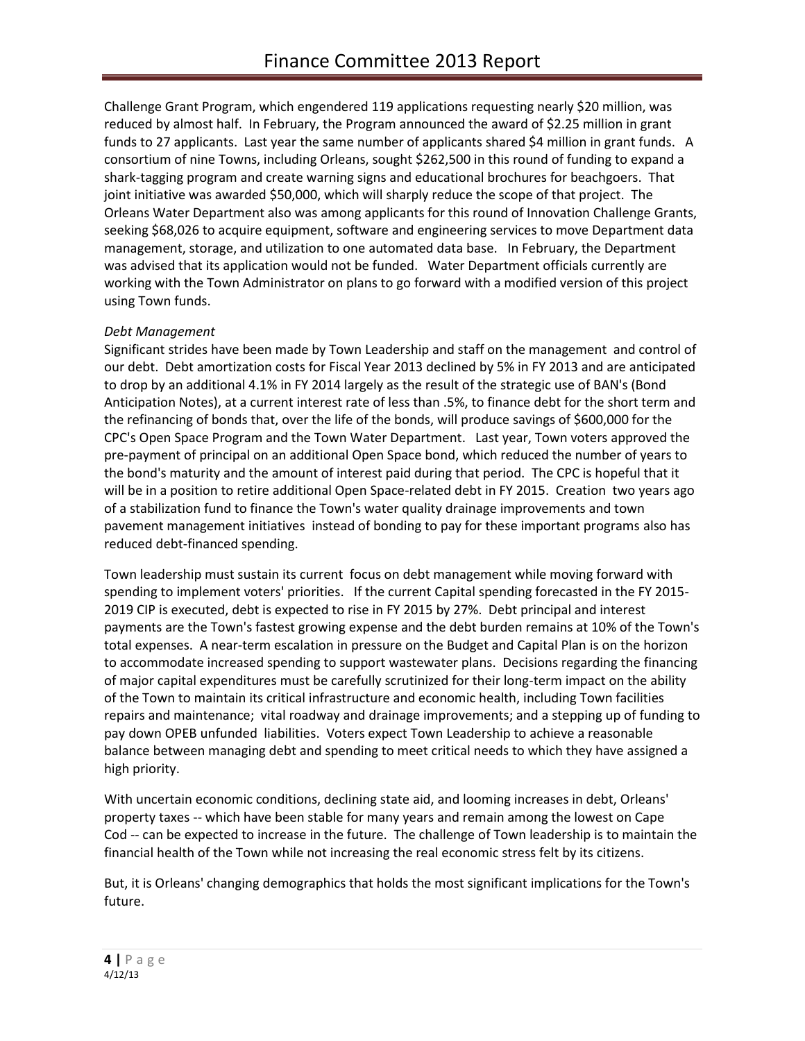Challenge Grant Program, which engendered 119 applications requesting nearly \$20 million, was reduced by almost half. In February, the Program announced the award of \$2.25 million in grant funds to 27 applicants. Last year the same number of applicants shared \$4 million in grant funds. A consortium of nine Towns, including Orleans, sought \$262,500 in this round of funding to expand a shark-tagging program and create warning signs and educational brochures for beachgoers. That joint initiative was awarded \$50,000, which will sharply reduce the scope of that project. The Orleans Water Department also was among applicants for this round of Innovation Challenge Grants, seeking \$68,026 to acquire equipment, software and engineering services to move Department data management, storage, and utilization to one automated data base. In February, the Department was advised that its application would not be funded. Water Department officials currently are working with the Town Administrator on plans to go forward with a modified version of this project using Town funds.

# *Debt Management*

Significant strides have been made by Town Leadership and staff on the management and control of our debt. Debt amortization costs for Fiscal Year 2013 declined by 5% in FY 2013 and are anticipated to drop by an additional 4.1% in FY 2014 largely as the result of the strategic use of BAN's (Bond Anticipation Notes), at a current interest rate of less than .5%, to finance debt for the short term and the refinancing of bonds that, over the life of the bonds, will produce savings of \$600,000 for the CPC's Open Space Program and the Town Water Department. Last year, Town voters approved the pre-payment of principal on an additional Open Space bond, which reduced the number of years to the bond's maturity and the amount of interest paid during that period. The CPC is hopeful that it will be in a position to retire additional Open Space-related debt in FY 2015. Creation two years ago of a stabilization fund to finance the Town's water quality drainage improvements and town pavement management initiatives instead of bonding to pay for these important programs also has reduced debt-financed spending.

Town leadership must sustain its current focus on debt management while moving forward with spending to implement voters' priorities. If the current Capital spending forecasted in the FY 2015- 2019 CIP is executed, debt is expected to rise in FY 2015 by 27%. Debt principal and interest payments are the Town's fastest growing expense and the debt burden remains at 10% of the Town's total expenses. A near-term escalation in pressure on the Budget and Capital Plan is on the horizon to accommodate increased spending to support wastewater plans. Decisions regarding the financing of major capital expenditures must be carefully scrutinized for their long-term impact on the ability of the Town to maintain its critical infrastructure and economic health, including Town facilities repairs and maintenance; vital roadway and drainage improvements; and a stepping up of funding to pay down OPEB unfunded liabilities. Voters expect Town Leadership to achieve a reasonable balance between managing debt and spending to meet critical needs to which they have assigned a high priority.

With uncertain economic conditions, declining state aid, and looming increases in debt, Orleans' property taxes -- which have been stable for many years and remain among the lowest on Cape Cod -- can be expected to increase in the future. The challenge of Town leadership is to maintain the financial health of the Town while not increasing the real economic stress felt by its citizens.

But, it is Orleans' changing demographics that holds the most significant implications for the Town's future.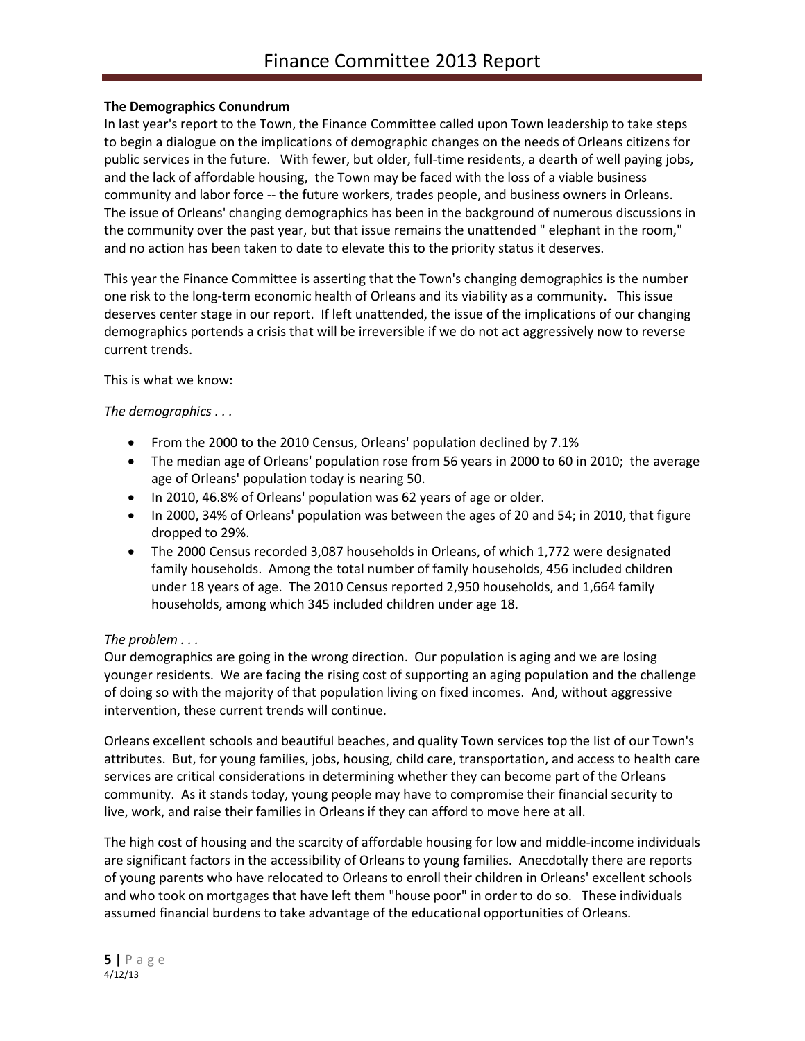# **The Demographics Conundrum**

In last year's report to the Town, the Finance Committee called upon Town leadership to take steps to begin a dialogue on the implications of demographic changes on the needs of Orleans citizens for public services in the future. With fewer, but older, full-time residents, a dearth of well paying jobs, and the lack of affordable housing, the Town may be faced with the loss of a viable business community and labor force -- the future workers, trades people, and business owners in Orleans. The issue of Orleans' changing demographics has been in the background of numerous discussions in the community over the past year, but that issue remains the unattended " elephant in the room," and no action has been taken to date to elevate this to the priority status it deserves.

This year the Finance Committee is asserting that the Town's changing demographics is the number one risk to the long-term economic health of Orleans and its viability as a community. This issue deserves center stage in our report. If left unattended, the issue of the implications of our changing demographics portends a crisis that will be irreversible if we do not act aggressively now to reverse current trends.

This is what we know:

# *The demographics . . .*

- From the 2000 to the 2010 Census, Orleans' population declined by 7.1%
- The median age of Orleans' population rose from 56 years in 2000 to 60 in 2010; the average age of Orleans' population today is nearing 50.
- In 2010, 46.8% of Orleans' population was 62 years of age or older.
- In 2000, 34% of Orleans' population was between the ages of 20 and 54; in 2010, that figure dropped to 29%.
- The 2000 Census recorded 3,087 households in Orleans, of which 1,772 were designated family households. Among the total number of family households, 456 included children under 18 years of age. The 2010 Census reported 2,950 households, and 1,664 family households, among which 345 included children under age 18.

# *The problem . . .*

Our demographics are going in the wrong direction. Our population is aging and we are losing younger residents. We are facing the rising cost of supporting an aging population and the challenge of doing so with the majority of that population living on fixed incomes. And, without aggressive intervention, these current trends will continue.

Orleans excellent schools and beautiful beaches, and quality Town services top the list of our Town's attributes. But, for young families, jobs, housing, child care, transportation, and access to health care services are critical considerations in determining whether they can become part of the Orleans community. As it stands today, young people may have to compromise their financial security to live, work, and raise their families in Orleans if they can afford to move here at all.

The high cost of housing and the scarcity of affordable housing for low and middle-income individuals are significant factors in the accessibility of Orleans to young families. Anecdotally there are reports of young parents who have relocated to Orleans to enroll their children in Orleans' excellent schools and who took on mortgages that have left them "house poor" in order to do so. These individuals assumed financial burdens to take advantage of the educational opportunities of Orleans.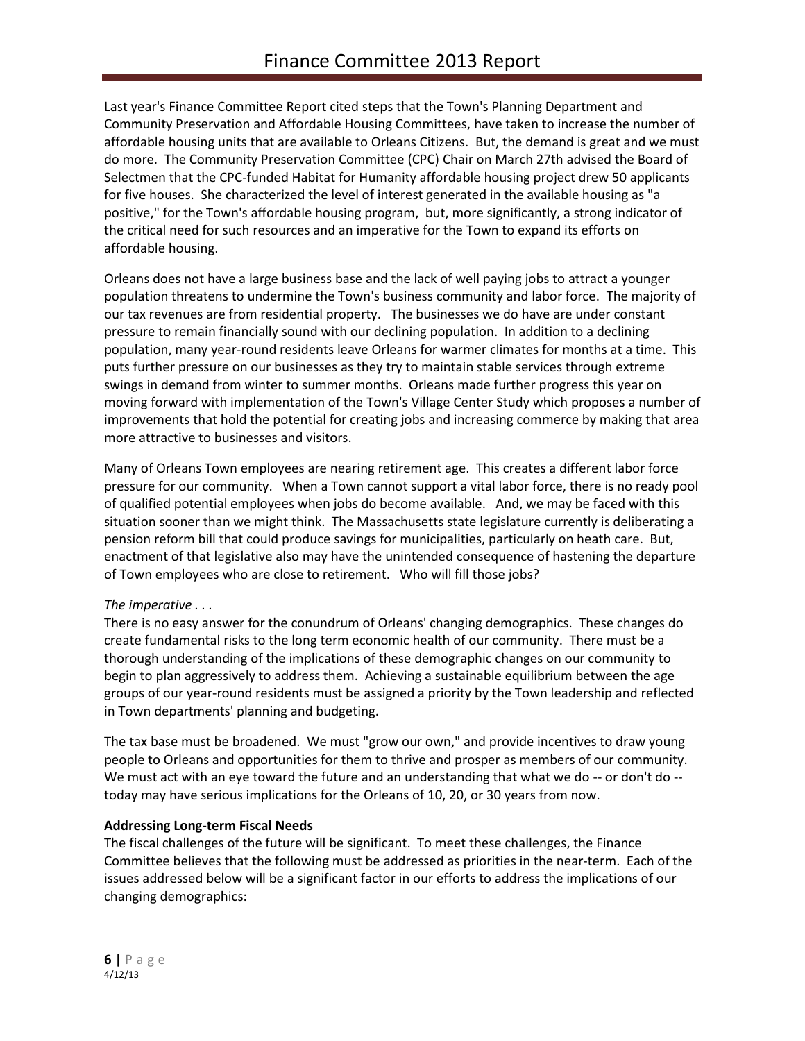Last year's Finance Committee Report cited steps that the Town's Planning Department and Community Preservation and Affordable Housing Committees, have taken to increase the number of affordable housing units that are available to Orleans Citizens. But, the demand is great and we must do more. The Community Preservation Committee (CPC) Chair on March 27th advised the Board of Selectmen that the CPC-funded Habitat for Humanity affordable housing project drew 50 applicants for five houses. She characterized the level of interest generated in the available housing as "a positive," for the Town's affordable housing program, but, more significantly, a strong indicator of the critical need for such resources and an imperative for the Town to expand its efforts on affordable housing.

Orleans does not have a large business base and the lack of well paying jobs to attract a younger population threatens to undermine the Town's business community and labor force. The majority of our tax revenues are from residential property. The businesses we do have are under constant pressure to remain financially sound with our declining population. In addition to a declining population, many year-round residents leave Orleans for warmer climates for months at a time. This puts further pressure on our businesses as they try to maintain stable services through extreme swings in demand from winter to summer months. Orleans made further progress this year on moving forward with implementation of the Town's Village Center Study which proposes a number of improvements that hold the potential for creating jobs and increasing commerce by making that area more attractive to businesses and visitors.

Many of Orleans Town employees are nearing retirement age. This creates a different labor force pressure for our community. When a Town cannot support a vital labor force, there is no ready pool of qualified potential employees when jobs do become available. And, we may be faced with this situation sooner than we might think. The Massachusetts state legislature currently is deliberating a pension reform bill that could produce savings for municipalities, particularly on heath care. But, enactment of that legislative also may have the unintended consequence of hastening the departure of Town employees who are close to retirement. Who will fill those jobs?

# *The imperative . . .*

There is no easy answer for the conundrum of Orleans' changing demographics. These changes do create fundamental risks to the long term economic health of our community. There must be a thorough understanding of the implications of these demographic changes on our community to begin to plan aggressively to address them. Achieving a sustainable equilibrium between the age groups of our year-round residents must be assigned a priority by the Town leadership and reflected in Town departments' planning and budgeting.

The tax base must be broadened. We must "grow our own," and provide incentives to draw young people to Orleans and opportunities for them to thrive and prosper as members of our community. We must act with an eye toward the future and an understanding that what we do -- or don't do -today may have serious implications for the Orleans of 10, 20, or 30 years from now.

### **Addressing Long-term Fiscal Needs**

The fiscal challenges of the future will be significant. To meet these challenges, the Finance Committee believes that the following must be addressed as priorities in the near-term. Each of the issues addressed below will be a significant factor in our efforts to address the implications of our changing demographics: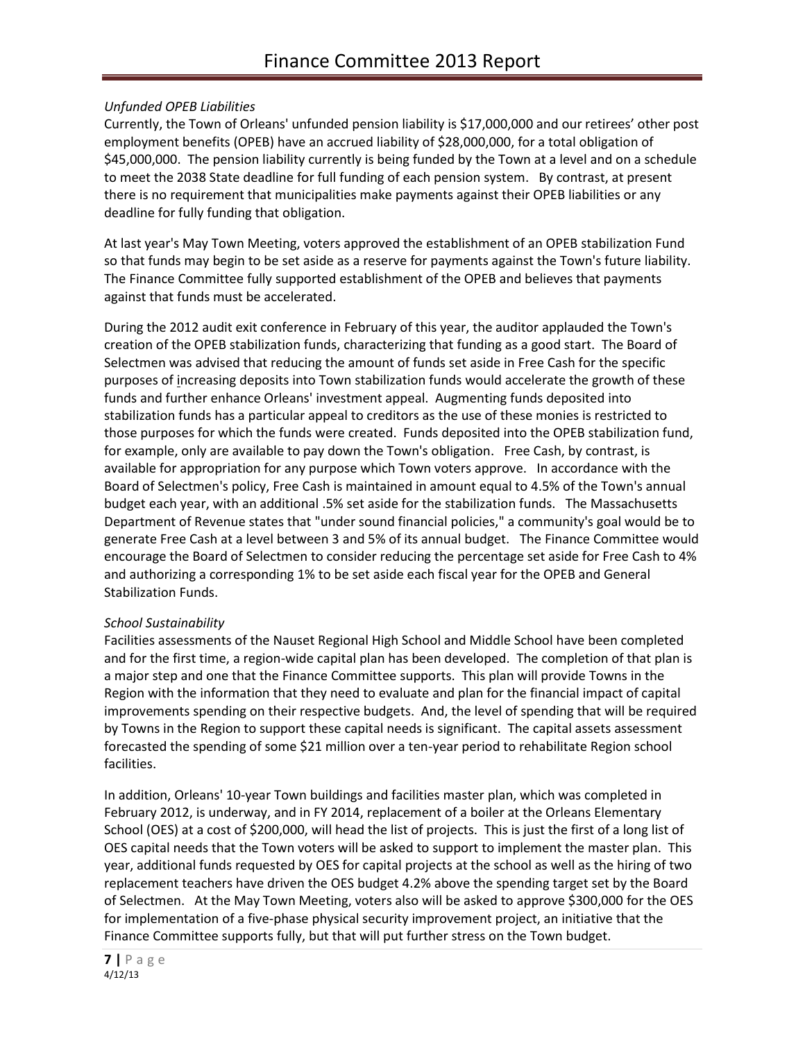# *Unfunded OPEB Liabilities*

Currently, the Town of Orleans' unfunded pension liability is \$17,000,000 and our retirees' other post employment benefits (OPEB) have an accrued liability of \$28,000,000, for a total obligation of \$45,000,000. The pension liability currently is being funded by the Town at a level and on a schedule to meet the 2038 State deadline for full funding of each pension system. By contrast, at present there is no requirement that municipalities make payments against their OPEB liabilities or any deadline for fully funding that obligation.

At last year's May Town Meeting, voters approved the establishment of an OPEB stabilization Fund so that funds may begin to be set aside as a reserve for payments against the Town's future liability. The Finance Committee fully supported establishment of the OPEB and believes that payments against that funds must be accelerated.

During the 2012 audit exit conference in February of this year, the auditor applauded the Town's creation of the OPEB stabilization funds, characterizing that funding as a good start. The Board of Selectmen was advised that reducing the amount of funds set aside in Free Cash for the specific purposes of increasing deposits into Town stabilization funds would accelerate the growth of these funds and further enhance Orleans' investment appeal. Augmenting funds deposited into stabilization funds has a particular appeal to creditors as the use of these monies is restricted to those purposes for which the funds were created. Funds deposited into the OPEB stabilization fund, for example, only are available to pay down the Town's obligation. Free Cash, by contrast, is available for appropriation for any purpose which Town voters approve. In accordance with the Board of Selectmen's policy, Free Cash is maintained in amount equal to 4.5% of the Town's annual budget each year, with an additional .5% set aside for the stabilization funds. The Massachusetts Department of Revenue states that "under sound financial policies," a community's goal would be to generate Free Cash at a level between 3 and 5% of its annual budget. The Finance Committee would encourage the Board of Selectmen to consider reducing the percentage set aside for Free Cash to 4% and authorizing a corresponding 1% to be set aside each fiscal year for the OPEB and General Stabilization Funds.

### *School Sustainability*

Facilities assessments of the Nauset Regional High School and Middle School have been completed and for the first time, a region-wide capital plan has been developed. The completion of that plan is a major step and one that the Finance Committee supports. This plan will provide Towns in the Region with the information that they need to evaluate and plan for the financial impact of capital improvements spending on their respective budgets. And, the level of spending that will be required by Towns in the Region to support these capital needs is significant. The capital assets assessment forecasted the spending of some \$21 million over a ten-year period to rehabilitate Region school facilities.

In addition, Orleans' 10-year Town buildings and facilities master plan, which was completed in February 2012, is underway, and in FY 2014, replacement of a boiler at the Orleans Elementary School (OES) at a cost of \$200,000, will head the list of projects. This is just the first of a long list of OES capital needs that the Town voters will be asked to support to implement the master plan. This year, additional funds requested by OES for capital projects at the school as well as the hiring of two replacement teachers have driven the OES budget 4.2% above the spending target set by the Board of Selectmen. At the May Town Meeting, voters also will be asked to approve \$300,000 for the OES for implementation of a five-phase physical security improvement project, an initiative that the Finance Committee supports fully, but that will put further stress on the Town budget.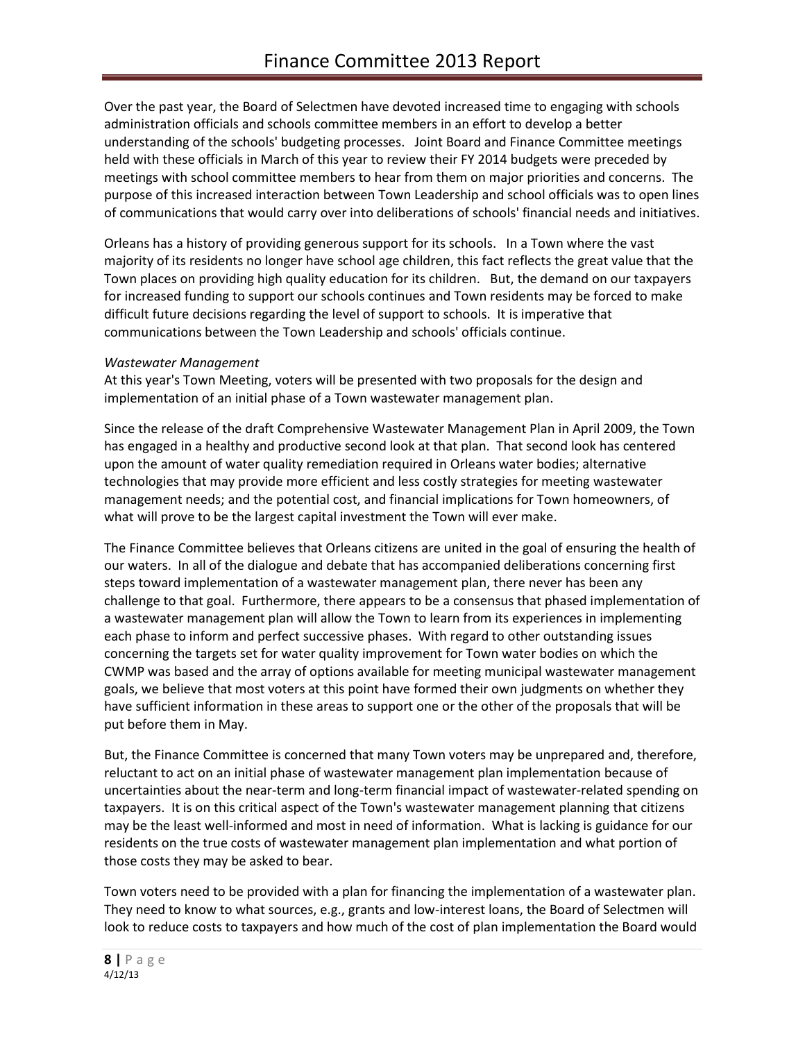Over the past year, the Board of Selectmen have devoted increased time to engaging with schools administration officials and schools committee members in an effort to develop a better understanding of the schools' budgeting processes. Joint Board and Finance Committee meetings held with these officials in March of this year to review their FY 2014 budgets were preceded by meetings with school committee members to hear from them on major priorities and concerns. The purpose of this increased interaction between Town Leadership and school officials was to open lines of communications that would carry over into deliberations of schools' financial needs and initiatives.

Orleans has a history of providing generous support for its schools. In a Town where the vast majority of its residents no longer have school age children, this fact reflects the great value that the Town places on providing high quality education for its children. But, the demand on our taxpayers for increased funding to support our schools continues and Town residents may be forced to make difficult future decisions regarding the level of support to schools. It is imperative that communications between the Town Leadership and schools' officials continue.

### *Wastewater Management*

At this year's Town Meeting, voters will be presented with two proposals for the design and implementation of an initial phase of a Town wastewater management plan.

Since the release of the draft Comprehensive Wastewater Management Plan in April 2009, the Town has engaged in a healthy and productive second look at that plan. That second look has centered upon the amount of water quality remediation required in Orleans water bodies; alternative technologies that may provide more efficient and less costly strategies for meeting wastewater management needs; and the potential cost, and financial implications for Town homeowners, of what will prove to be the largest capital investment the Town will ever make.

The Finance Committee believes that Orleans citizens are united in the goal of ensuring the health of our waters. In all of the dialogue and debate that has accompanied deliberations concerning first steps toward implementation of a wastewater management plan, there never has been any challenge to that goal. Furthermore, there appears to be a consensus that phased implementation of a wastewater management plan will allow the Town to learn from its experiences in implementing each phase to inform and perfect successive phases. With regard to other outstanding issues concerning the targets set for water quality improvement for Town water bodies on which the CWMP was based and the array of options available for meeting municipal wastewater management goals, we believe that most voters at this point have formed their own judgments on whether they have sufficient information in these areas to support one or the other of the proposals that will be put before them in May.

But, the Finance Committee is concerned that many Town voters may be unprepared and, therefore, reluctant to act on an initial phase of wastewater management plan implementation because of uncertainties about the near-term and long-term financial impact of wastewater-related spending on taxpayers. It is on this critical aspect of the Town's wastewater management planning that citizens may be the least well-informed and most in need of information. What is lacking is guidance for our residents on the true costs of wastewater management plan implementation and what portion of those costs they may be asked to bear.

Town voters need to be provided with a plan for financing the implementation of a wastewater plan. They need to know to what sources, e.g., grants and low-interest loans, the Board of Selectmen will look to reduce costs to taxpayers and how much of the cost of plan implementation the Board would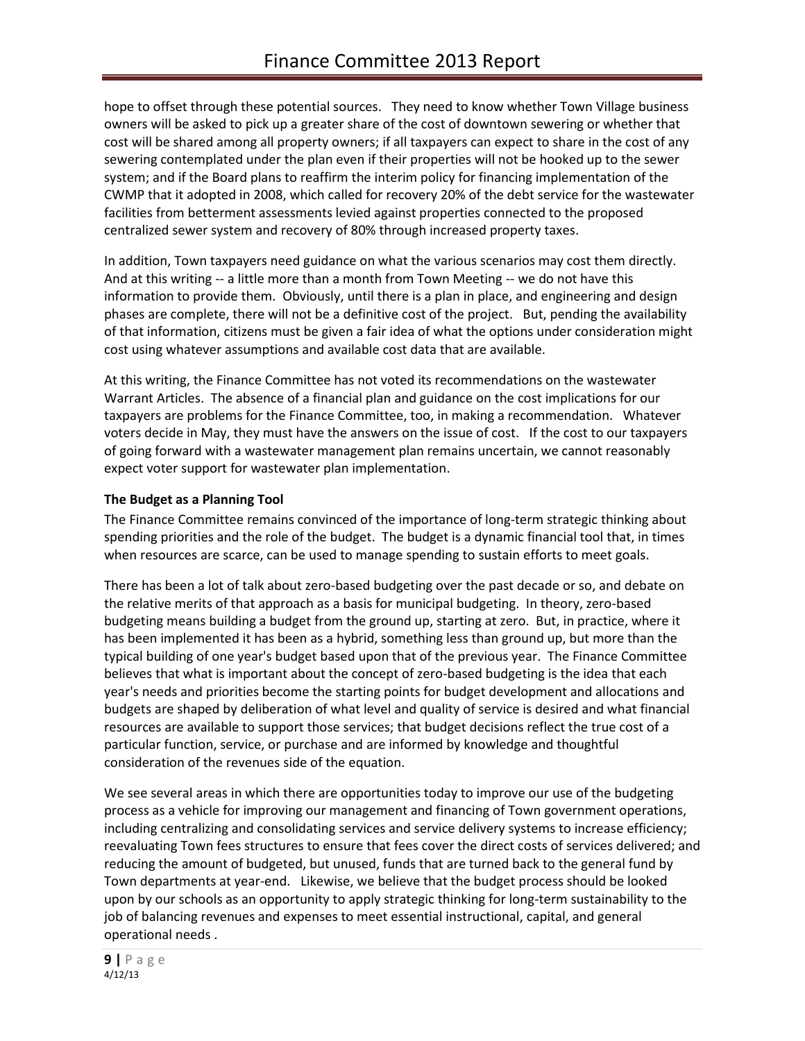hope to offset through these potential sources. They need to know whether Town Village business owners will be asked to pick up a greater share of the cost of downtown sewering or whether that cost will be shared among all property owners; if all taxpayers can expect to share in the cost of any sewering contemplated under the plan even if their properties will not be hooked up to the sewer system; and if the Board plans to reaffirm the interim policy for financing implementation of the CWMP that it adopted in 2008, which called for recovery 20% of the debt service for the wastewater facilities from betterment assessments levied against properties connected to the proposed centralized sewer system and recovery of 80% through increased property taxes.

In addition, Town taxpayers need guidance on what the various scenarios may cost them directly. And at this writing -- a little more than a month from Town Meeting -- we do not have this information to provide them. Obviously, until there is a plan in place, and engineering and design phases are complete, there will not be a definitive cost of the project. But, pending the availability of that information, citizens must be given a fair idea of what the options under consideration might cost using whatever assumptions and available cost data that are available.

At this writing, the Finance Committee has not voted its recommendations on the wastewater Warrant Articles. The absence of a financial plan and guidance on the cost implications for our taxpayers are problems for the Finance Committee, too, in making a recommendation. Whatever voters decide in May, they must have the answers on the issue of cost. If the cost to our taxpayers of going forward with a wastewater management plan remains uncertain, we cannot reasonably expect voter support for wastewater plan implementation.

# **The Budget as a Planning Tool**

The Finance Committee remains convinced of the importance of long-term strategic thinking about spending priorities and the role of the budget. The budget is a dynamic financial tool that, in times when resources are scarce, can be used to manage spending to sustain efforts to meet goals.

There has been a lot of talk about zero-based budgeting over the past decade or so, and debate on the relative merits of that approach as a basis for municipal budgeting. In theory, zero-based budgeting means building a budget from the ground up, starting at zero. But, in practice, where it has been implemented it has been as a hybrid, something less than ground up, but more than the typical building of one year's budget based upon that of the previous year. The Finance Committee believes that what is important about the concept of zero-based budgeting is the idea that each year's needs and priorities become the starting points for budget development and allocations and budgets are shaped by deliberation of what level and quality of service is desired and what financial resources are available to support those services; that budget decisions reflect the true cost of a particular function, service, or purchase and are informed by knowledge and thoughtful consideration of the revenues side of the equation.

We see several areas in which there are opportunities today to improve our use of the budgeting process as a vehicle for improving our management and financing of Town government operations, including centralizing and consolidating services and service delivery systems to increase efficiency; reevaluating Town fees structures to ensure that fees cover the direct costs of services delivered; and reducing the amount of budgeted, but unused, funds that are turned back to the general fund by Town departments at year-end. Likewise, we believe that the budget process should be looked upon by our schools as an opportunity to apply strategic thinking for long-term sustainability to the job of balancing revenues and expenses to meet essential instructional, capital, and general operational needs .